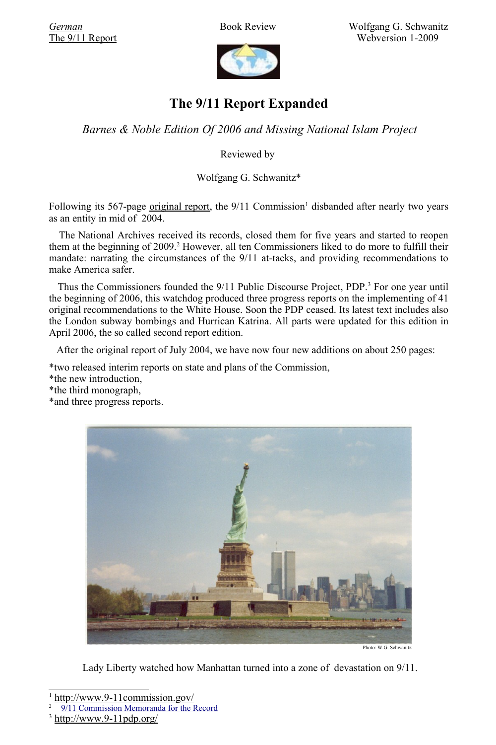*[German](http://hsozkult.geschichte.hu-berlin.de/rezensionen/type=rezbuecher&id=5431)* Book Review Wolfgang G. Schwanitz [The 9/11 Report](http://www.trafoberlin.de/pdf-dateien/National Comission 9 11 Report.pdf) Webversion 1-2009



# **The 9/11 Report Expanded**

*Barnes & Noble Edition Of 2006 and Missing National Islam Project*

Reviewed by

Wolfgang G. Schwanitz\*

Following its 567-page <u>[original](http://www.trafoberlin.de/pdf-dateien/National Comission 9 11 Report.pdf) report</u>, the  $9/11$  $9/11$  $9/11$  Commission<sup>1</sup> disbanded after nearly two years as an entity in mid of 2004.

The National Archives received its records, closed them for five years and started to reopen them at the beginning of [2](#page-0-1)009.<sup>2</sup> However, all ten Commissioners liked to do more to fulfill their mandate: narrating the circumstances of the 9/11 at-tacks, and providing recommendations to make America safer.

Thus the Commissioners founded the 9/11 Public Discourse Project, PDP.<sup>[3](#page-0-2)</sup> For one year until the beginning of 2006, this watchdog produced three progress reports on the implementing of 41 original recommendations to the White House. Soon the PDP ceased. Its latest text includes also the London subway bombings and Hurrican Katrina. All parts were updated for this edition in April 2006, the so called second report edition.

After the original report of July 2004, we have now four new additions on about 250 pages:

\*two released interim reports on state and plans of the Commission,

\*the new introduction,

\*the third monograph,

\*and three progress reports.



Photo: W.G. Schwanitz

Lady Liberty watched how Manhattan turned into a zone of devastation on 9/11.

<span id="page-0-0"></span><sup>1</sup> <http://www.9-11commission.gov/>

<span id="page-0-1"></span><sup>2</sup>  [9/11 Commission Memoranda for the Record](http://www.archives.gov/legislative/research/9-11/commission-memoranda.html)

<span id="page-0-2"></span> $3 \frac{\text{http://www.9-11pdp.org/}}{2}$  $3 \frac{\text{http://www.9-11pdp.org/}}{2}$  $3 \frac{\text{http://www.9-11pdp.org/}}{2}$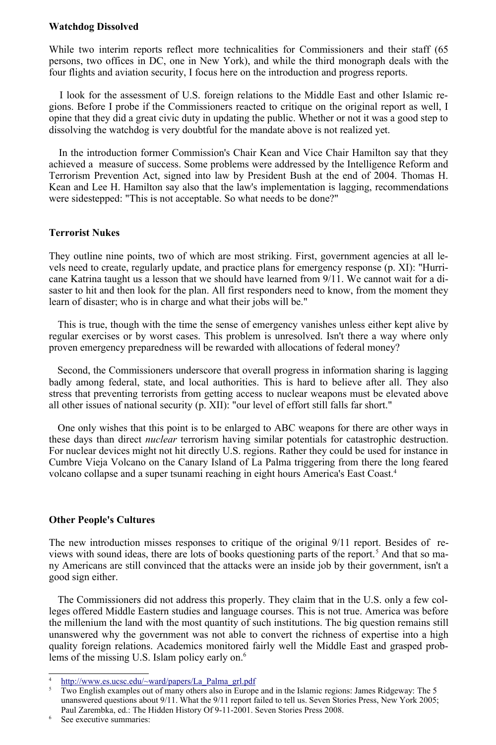## **Watchdog Dissolved**

While two interim reports reflect more technicalities for Commissioners and their staff (65 persons, two offices in DC, one in New York), and while the third monograph deals with the four flights and aviation security, I focus here on the introduction and progress reports.

I look for the assessment of U.S. foreign relations to the Middle East and other Islamic regions. Before I probe if the Commissioners reacted to critique on the original report as well, I opine that they did a great civic duty in updating the public. Whether or not it was a good step to dissolving the watchdog is very doubtful for the mandate above is not realized yet.

In the introduction former Commission's Chair Kean and Vice Chair Hamilton say that they achieved a measure of success. Some problems were addressed by the Intelligence Reform and Terrorism Prevention Act, signed into law by President Bush at the end of 2004. Thomas H. Kean and Lee H. Hamilton say also that the law's implementation is lagging, recommendations were sidestepped: "This is not acceptable. So what needs to be done?"

## **Terrorist Nukes**

They outline nine points, two of which are most striking. First, government agencies at all levels need to create, regularly update, and practice plans for emergency response (p. XI): "Hurricane Katrina taught us a lesson that we should have learned from 9/11. We cannot wait for a disaster to hit and then look for the plan. All first responders need to know, from the moment they learn of disaster; who is in charge and what their jobs will be."

This is true, though with the time the sense of emergency vanishes unless either kept alive by regular exercises or by worst cases. This problem is unresolved. Isn't there a way where only proven emergency preparedness will be rewarded with allocations of federal money?

Second, the Commissioners underscore that overall progress in information sharing is lagging badly among federal, state, and local authorities. This is hard to believe after all. They also stress that preventing terrorists from getting access to nuclear weapons must be elevated above all other issues of national security (p. XII): "our level of effort still falls far short."

One only wishes that this point is to be enlarged to ABC weapons for there are other ways in these days than direct *nuclear* terrorism having similar potentials for catastrophic destruction. For nuclear devices might not hit directly U.S. regions. Rather they could be used for instance in Cumbre Vieja Volcano on the Canary Island of La Palma triggering from there the long feared volcano collapse and a super tsunami reaching in eight hours America's East Coast.[4](#page-1-0)

#### **Other People's Cultures**

The new introduction misses responses to critique of the original 9/11 report. Besides of re-views with sound ideas, there are lots of books questioning parts of the report.<sup>[5](#page-1-1)</sup> And that so many Americans are still convinced that the attacks were an inside job by their government, isn't a good sign either.

The Commissioners did not address this properly. They claim that in the U.S. only a few colleges offered Middle Eastern studies and language courses. This is not true. America was before the millenium the land with the most quantity of such institutions. The big question remains still unanswered why the government was not able to convert the richness of expertise into a high quality foreign relations. Academics monitored fairly well the Middle East and grasped prob-lems of the missing U.S. Islam policy early on.<sup>[6](#page-1-2)</sup>

<span id="page-1-2"></span>See executive summaries:

<span id="page-1-0"></span><sup>4</sup> http://www.es.ucsc.edu/~ward/papers/La\_Palma\_grl.pdf

<span id="page-1-1"></span><sup>&</sup>lt;sup>5</sup> Two English examples out of many others also in Europe and in the Islamic regions: James Ridgeway: The 5 unanswered questions about 9/11. What the 9/11 report failed to tell us. Seven Stories Press, New York 2005; Paul Zarembka, ed.: The Hidden History Of 9-11-2001. Seven Stories Press 2008.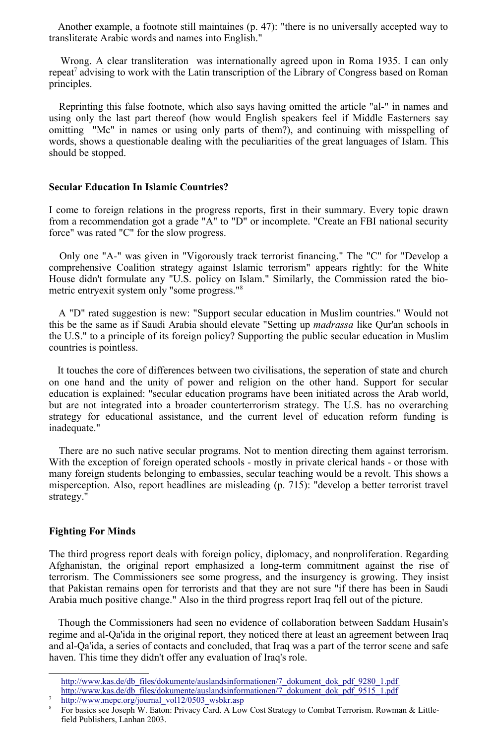Another example, a footnote still maintaines (p. 47): "there is no universally accepted way to transliterate Arabic words and names into English."

Wrong. A clear transliteration was internationally agreed upon in Roma 1935. I can only repeat<sup>[7](#page-2-0)</sup> advising to work with the Latin transcription of the Library of Congress based on Roman principles.

Reprinting this false footnote, which also says having omitted the article "al-" in names and using only the last part thereof (how would English speakers feel if Middle Easterners say omitting "Mc" in names or using only parts of them?), and continuing with misspelling of words, shows a questionable dealing with the peculiarities of the great languages of Islam. This should be stopped.

#### **Secular Education In Islamic Countries?**

I come to foreign relations in the progress reports, first in their summary. Every topic drawn from a recommendation got a grade "A" to "D" or incomplete. "Create an FBI national security force" was rated "C" for the slow progress.

Only one "A-" was given in "Vigorously track terrorist financing." The "C" for "Develop a comprehensive Coalition strategy against Islamic terrorism" appears rightly: for the White House didn't formulate any "U.S. policy on Islam." Similarly, the Commission rated the biometric entryexit system only "some progress."[8](#page-2-1)

A "D" rated suggestion is new: "Support secular education in Muslim countries." Would not this be the same as if Saudi Arabia should elevate "Setting up *madrassa* like Qur'an schools in the U.S." to a principle of its foreign policy? Supporting the public secular education in Muslim countries is pointless.

It touches the core of differences between two civilisations, the seperation of state and church on one hand and the unity of power and religion on the other hand. Support for secular education is explained: "secular education programs have been initiated across the Arab world, but are not integrated into a broader counterterrorism strategy. The U.S. has no overarching strategy for educational assistance, and the current level of education reform funding is inadequate."

There are no such native secular programs. Not to mention directing them against terrorism. With the exception of foreign operated schools - mostly in private clerical hands - or those with many foreign students belonging to embassies, secular teaching would be a revolt. This shows a misperception. Also, report headlines are misleading (p. 715): "develop a better terrorist travel strategy."

#### **Fighting For Minds**

<span id="page-2-0"></span>7

The third progress report deals with foreign policy, diplomacy, and nonproliferation. Regarding Afghanistan, the original report emphasized a long-term commitment against the rise of terrorism. The Commissioners see some progress, and the insurgency is growing. They insist that Pakistan remains open for terrorists and that they are not sure "if there has been in Saudi Arabia much positive change." Also in the third progress report Iraq fell out of the picture.

Though the Commissioners had seen no evidence of collaboration between Saddam Husain's regime and al-Qa'ida in the original report, they noticed there at least an agreement between Iraq and al-Qa'ida, a series of contacts and concluded, that Iraq was a part of the terror scene and safe haven. This time they didn't offer any evaluation of Iraq's role.

[http://www.kas.de/db\\_files/dokumente/auslandsinformationen/7\\_dokument\\_dok\\_pdf\\_9280\\_1.pdf](http://www.kas.de/db_files/dokumente/auslandsinformationen/7_dokument_dok_pdf_9280_1.pdf) [http://www.kas.de/db\\_files/dokumente/auslandsinformationen/7\\_dokument\\_dok\\_pdf\\_9515\\_1.pdf](http://www.kas.de/db_files/dokumente/auslandsinformationen/7_dokument_dok_pdf_9515_1.pdf) http://www.mepc.org/journal\_vol12/0503\_wsbkr.asp

<span id="page-2-1"></span><sup>8</sup> For basics see Joseph W. Eaton: Privacy Card. A Low Cost Strategy to Combat Terrorism. Rowman & Littlefield Publishers, Lanhan 2003.